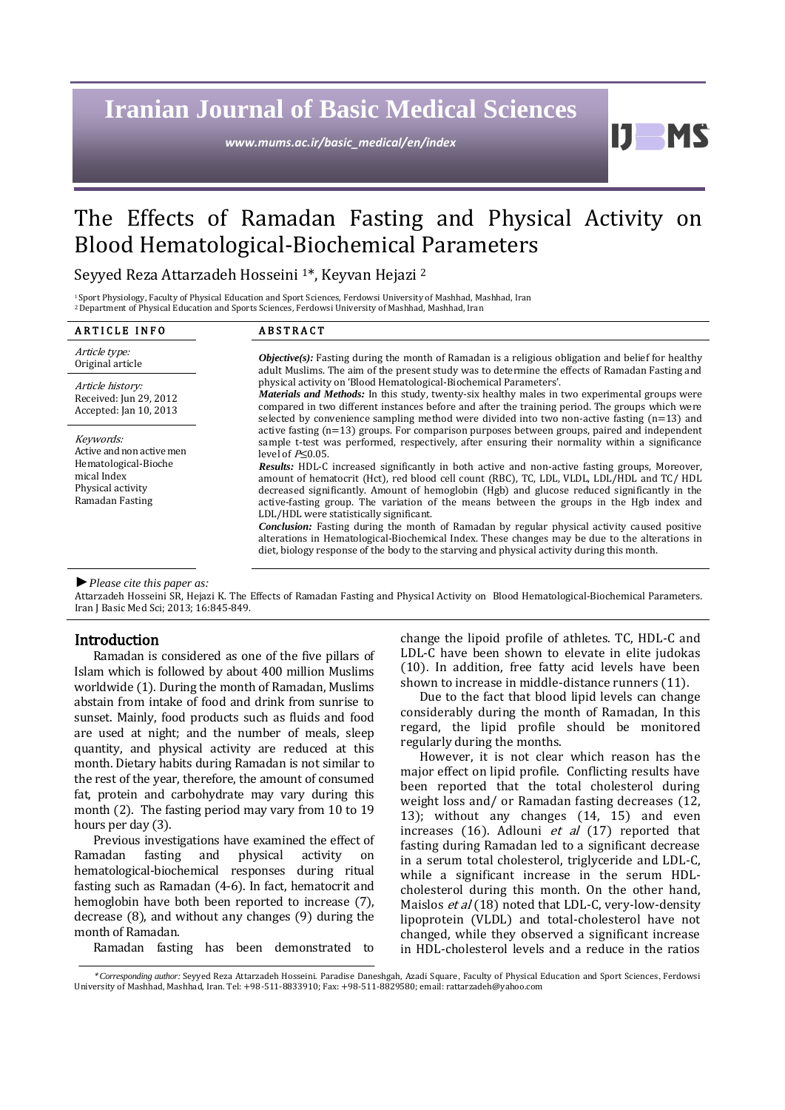# **Iranian Journal of Basic Medical Sciences**

*www.mums.ac.ir/basic\_medical/en/index*

 $\mathbf{J}$ **MS** 

# The Effects of Ramadan Fasting and Physical Activity on Blood Hematological-Biochemical Parameters  $\overline{a}$

Seyyed Reza Attarzadeh Hosseini <sup>1</sup>\*, Keyvan Hejazi <sup>2</sup>

<sup>1</sup>Sport Physiology, Faculty of Physical Education and Sport Sciences, Ferdowsi University of Mashhad, Mashhad, Iran <sup>2</sup>Department of Physical Education and Sports Sciences, Ferdowsi University of Mashhad, Mashhad, Iran

| <b>ARTICLE INFO</b>                                                                                                   | <b>ABSTRACT</b>                                                                                                                                                                                                                                                                                                                                                                                                                                                                                                                                                                                                                                                                                                                                                                                                                                                                                                                                                               |  |  |  |
|-----------------------------------------------------------------------------------------------------------------------|-------------------------------------------------------------------------------------------------------------------------------------------------------------------------------------------------------------------------------------------------------------------------------------------------------------------------------------------------------------------------------------------------------------------------------------------------------------------------------------------------------------------------------------------------------------------------------------------------------------------------------------------------------------------------------------------------------------------------------------------------------------------------------------------------------------------------------------------------------------------------------------------------------------------------------------------------------------------------------|--|--|--|
| Article type:<br>Original article                                                                                     | <b><i>Objective(s)</i></b> : Fasting during the month of Ramadan is a religious obligation and belief for healthy<br>adult Muslims. The aim of the present study was to determine the effects of Ramadan Fasting and                                                                                                                                                                                                                                                                                                                                                                                                                                                                                                                                                                                                                                                                                                                                                          |  |  |  |
| Article history:<br>Received: Jun 29, 2012<br>Accepted: Jan 10, 2013                                                  | physical activity on 'Blood Hematological-Biochemical Parameters'.<br><b>Materials and Methods:</b> In this study, twenty-six healthy males in two experimental groups were<br>compared in two different instances before and after the training period. The groups which were<br>selected by convenience sampling method were divided into two non-active fasting $(n=13)$ and                                                                                                                                                                                                                                                                                                                                                                                                                                                                                                                                                                                               |  |  |  |
| Keywords:<br>Active and non active men<br>Hematological-Bioche<br>mical Index<br>Physical activity<br>Ramadan Fasting | active fasting $(n=13)$ groups. For comparison purposes between groups, paired and independent<br>sample t-test was performed, respectively, after ensuring their normality within a significance<br>level of $P<0.05$ .<br><b>Results:</b> HDL-C increased significantly in both active and non-active fasting groups, Moreover,<br>amount of hematocrit (Hct), red blood cell count (RBC), TC, LDL, VLDL, LDL/HDL and TC/HDL<br>decreased significantly. Amount of hemoglobin (Hgb) and glucose reduced significantly in the<br>active-fasting group. The variation of the means between the groups in the Hgb index and<br>LDL/HDL were statistically significant.<br><b>Conclusion:</b> Fasting during the month of Ramadan by regular physical activity caused positive<br>alterations in Hematological-Biochemical Index. These changes may be due to the alterations in<br>diet, biology response of the body to the starving and physical activity during this month. |  |  |  |

#### *►Please cite this paper as:*

Attarzadeh Hosseini SR, Hejazi K. The Effects of Ramadan Fasting and Physical Activity on Blood Hematological-Biochemical Parameters. Iran J Basic Med Sci; 2013; 16:845-849.

## Introduction

Ramadan is considered as one of the five pillars of Islam which is followed by about 400 million Muslims worldwide [\(1\)](#page-3-0). During the month of Ramadan, Muslims abstain from intake of food and drink from sunrise to sunset. Mainly, food products such as fluids and food are used at night; and the number of meals, sleep quantity, and physical activity are reduced at this month. Dietary habits during Ramadan is not similar to the rest of the year, therefore, the amount of consumed fat, protein and carbohydrate may vary during this month [\(2\)](#page-3-1). The fasting period may vary from 10 to 19 hours per day [\(3\)](#page-4-0).

Previous investigations have examined the effect of Ramadan fasting and physical activity on hematological-biochemical responses during ritual fasting such as Ramadan [\(4-6\)](#page-4-1). In fact, hematocrit and hemoglobin have both been reported to increase [\(7\)](#page-4-2), decrease [\(8\)](#page-4-3), and without any changes [\(9\)](#page-4-4) during the month of Ramadan.

Ramadan fasting has been demonstrated to

change the lipoid profile of athletes. TC, HDL-C and LDL-C have been shown to elevate in elite judokas [\(10\)](#page-4-5). In addition, free fatty acid levels have been shown to increase in middle-distance runners [\(11\)](#page-4-6).

Due to the fact that blood lipid levels can change considerably during the month of Ramadan, In this regard, the lipid profile should be monitored regularly during the months.

However, it is not clear which reason has the major effect on lipid profile. Conflicting results have been reported that the total cholesterol during weight loss and/ or Ramadan fasting decreases [\(12,](#page-4-7)  [13\)](#page-4-8); without any changes [\(14,](#page-4-9) [15\)](#page-4-10) and even increases [\(16\)](#page-4-11). Adlouni  $et$  al [\(17\)](#page-4-12) reported that fasting during Ramadan led to a significant decrease in a serum total cholesterol, triglyceride and LDL-C, while a significant increase in the serum HDLcholesterol during this month. On the other hand, Maislos et al [\(18\)](#page-4-13) noted that LDL-C, very-low-density lipoprotein (VLDL) and total-cholesterol have not changed, while they observed a significant increase in HDL-cholesterol levels and a reduce in the ratios

<sup>\*</sup> *Corresponding author:* Seyyed Reza Attarzadeh Hosseini. Paradise Daneshgah, Azadi Square, Faculty of Physical Education and Sport Sciences, Ferdowsi University of Mashhad, Mashhad, Iran. Tel: +98-511-8833910; Fax: +98-511-8829580; email[: rattarzadeh@yahoo.com](mailto:rattarzadeh@yahoo.com)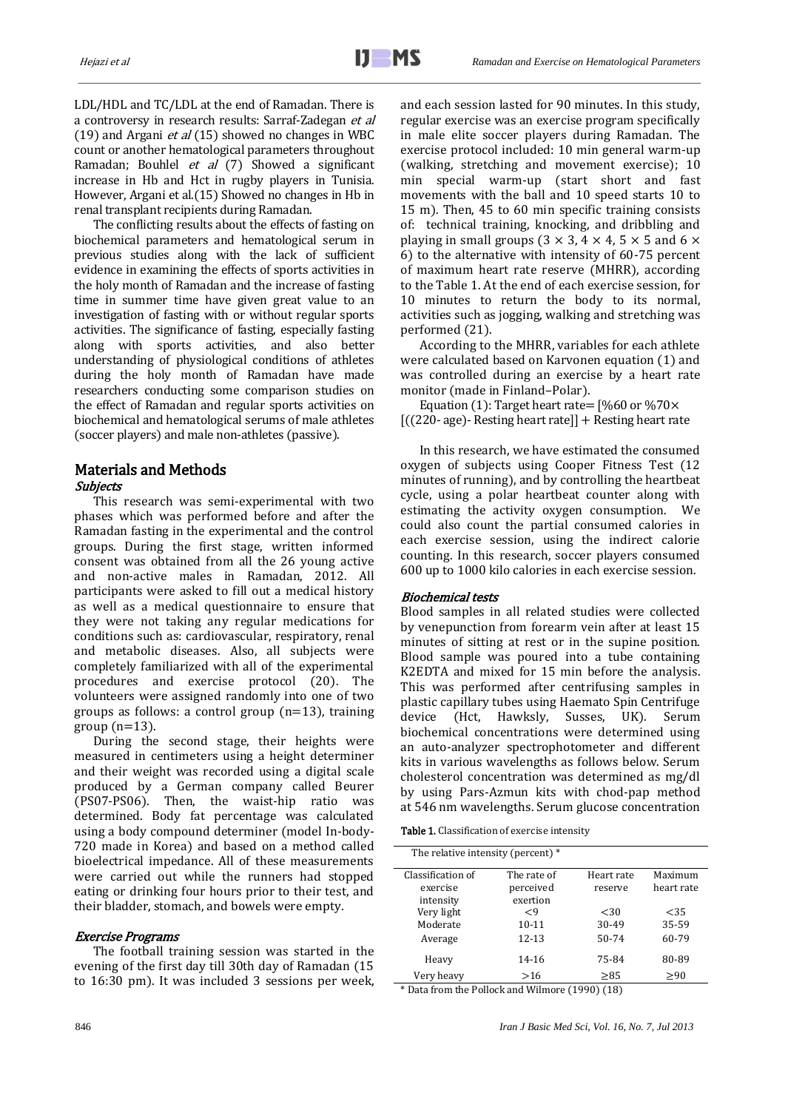LDL/HDL and TC/LDL at the end of Ramadan. There is a controversy in research results: Sarraf-Zadegan et al [\(19\)](#page-4-14) and Argani  $et$  al [\(15\)](#page-4-10) showed no changes in WBC count or another hematological parameters throughout Ramadan; Bouhlel et al [\(7\)](#page-4-2) Showed a significant increase in Hb and Hct in rugby players in Tunisia. However, Argani et al.[\(15\)](#page-4-10) Showed no changes in Hb in renal transplant recipients during Ramadan.

The conflicting results about the effects of fasting on biochemical parameters and hematological serum in previous studies along with the lack of sufficient evidence in examining the effects of sports activities in the holy month of Ramadan and the increase of fasting time in summer time have given great value to an investigation of fasting with or without regular sports activities. The significance of fasting, especially fasting along with sports activities, and also better understanding of physiological conditions of athletes during the holy month of Ramadan have made researchers conducting some comparison studies on the effect of Ramadan and regular sports activities on biochemical and hematological serums of male athletes (soccer players) and male non-athletes (passive).

# Materials and Methods

# Subjects

This research was semi-experimental with two phases which was performed before and after the Ramadan fasting in the experimental and the control groups. During the first stage, written informed consent was obtained from all the 26 young active and non-active males in Ramadan, 2012. All participants were asked to fill out a medical history as well as a medical questionnaire to ensure that they were not taking any regular medications for conditions such as: cardiovascular, respiratory, renal and metabolic diseases. Also, all subjects were completely familiarized with all of the experimental procedures and exercise protocol [\(20\)](#page-4-15). The volunteers were assigned randomly into one of two groups as follows: a control group  $(n=13)$ , training group  $(n=13)$ .

During the second stage, their heights were measured in centimeters using a height determiner and their weight was recorded using a digital scale produced by a German company called Beurer (PS07-PS06). Then, the waist-hip ratio was determined. Body fat percentage was calculated using a body compound determiner (model In-body-720 made in Korea) and based on a method called bioelectrical impedance. All of these measurements were carried out while the runners had stopped eating or drinking four hours prior to their test, and their bladder, stomach, and bowels were empty.

#### Exercise Programs

The football training session was started in the evening of the first day till 30th day of Ramadan (15 to 16:30 pm). It was included 3 sessions per week, and each session lasted for 90 minutes. In this study, regular exercise was an exercise program specifically in male elite soccer players during Ramadan. The exercise protocol included: 10 min general warm-up (walking, stretching and movement exercise); 10 min special warm-up (start short and fast movements with the ball and 10 speed starts 10 to 15 m). Then, 45 to 60 min specific training consists of: technical training, knocking, and dribbling and playing in small groups  $(3 \times 3, 4 \times 4, 5 \times 5)$  and 6  $\times$ 6) to the alternative with intensity of 60-75 percent of maximum heart rate reserve (MHRR), according to the Table 1. At the end of each exercise session, for 10 minutes to return the body to its normal, activities such as jogging, walking and stretching was performed [\(21\)](#page-4-16).

According to the MHRR, variables for each athlete were calculated based on Karvonen equation (1) and was controlled during an exercise by a heart rate monitor (made in Finland–Polar).

Equation (1): Target heart rate= [%60 or %70×  $[(220 - age) - Resting heart rate] + Resting heart rate]$ 

In this research, we have estimated the consumed oxygen of subjects using Cooper Fitness Test (12 minutes of running), and by controlling the heartbeat cycle, using a polar heartbeat counter along with estimating the activity oxygen consumption. We could also count the partial consumed calories in each exercise session, using the indirect calorie counting. In this research, soccer players consumed 600 up to 1000 kilo calories in each exercise session.

#### Biochemical tests

Blood samples in all related studies were collected by venepunction from forearm vein after at least 15 minutes of sitting at rest or in the supine position. Blood sample was poured into a tube containing K2EDTA and mixed for 15 min before the analysis. This was performed after centrifusing samples in plastic capillary tubes using Haemato Spin Centrifuge device (Hct, Hawksly, Susses, UK). Serum biochemical concentrations were determined using an auto-analyzer spectrophotometer and different kits in various wavelengths as follows below. Serum cholesterol concentration was determined as mg/dl by using Pars-Azmun kits with chod-pap method at 546 nm wavelengths. Serum glucose concentration

Table 1. Classification of exercise intensity

| The relative intensity (percent) * |  |
|------------------------------------|--|

| Classification of | The rate of   | Heart rate | Maximum    |
|-------------------|---------------|------------|------------|
| exercise          | perceived     | reserve    | heart rate |
| intensity         | exertion      |            |            |
| Very light        | $\mathsf{<}9$ | < 30       | < 35       |
| Moderate          | $10 - 11$     | 30-49      | 35-59      |
| Average           | 12-13         | 50-74      | 60-79      |
| Heavy             | 14-16         | 75-84      | 80-89      |
| Very heavy        | >16           | >85        | >90        |

\* Data from the Pollock and Wilmore (1990) (18)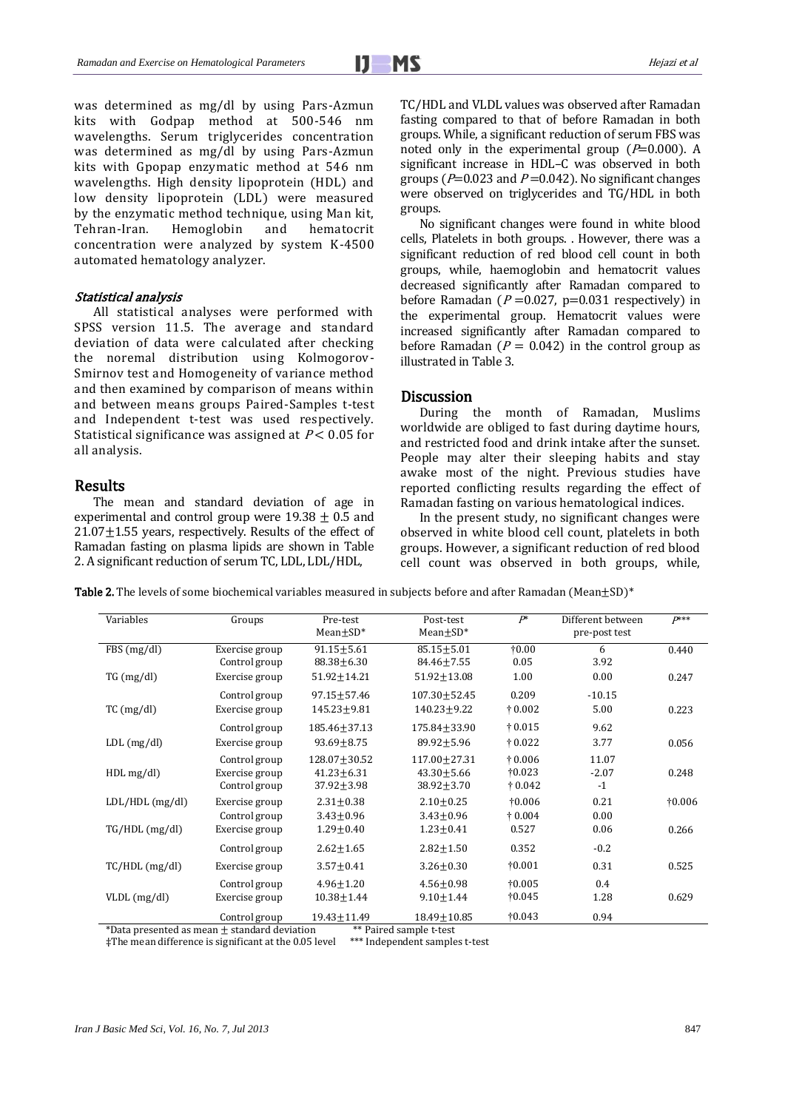was determined as mg/dl by using Pars-Azmun kits with Godpap method at 500-546 nm wavelengths. Serum triglycerides concentration was determined as mg/dl by using Pars-Azmun kits with Gpopap enzymatic method at 546 nm wavelengths. High density lipoprotein (HDL) and low density lipoprotein (LDL) were measured by the enzymatic method technique, using Man kit, Tehran-Iran. Hemoglobin and hematocrit concentration were analyzed by system K-4500 automated hematology analyzer.

#### Statistical analysis

All statistical analyses were performed with SPSS version 11.5. The average and standard deviation of data were calculated after checking the noremal distribution using Kolmogorov-Smirnov test and Homogeneity of variance method and then examined by comparison of means within and between means groups Paired-Samples t-test and Independent t-test was used respectively. Statistical significance was assigned at  $P < 0.05$  for all analysis.

# Results

The mean and standard deviation of age in experimental and control group were  $19.38 \pm 0.5$  and  $21.07 \pm 1.55$  years, respectively. Results of the effect of Ramadan fasting on plasma lipids are shown in Table 2. A significant reduction of serum TC, LDL, LDL/HDL,

TC/HDL and VLDL values was observed after Ramadan fasting compared to that of before Ramadan in both groups. While, a significant reduction of serum FBS was noted only in the experimental group  $(P=0.000)$ . A significant increase in HDL–C was observed in both groups ( $P=0.023$  and  $P=0.042$ ). No significant changes were observed on triglycerides and TG/HDL in both groups.

No significant changes were found in white blood cells, Platelets in both groups. . However, there was a significant reduction of red blood cell count in both groups, while, haemoglobin and hematocrit values decreased significantly after Ramadan compared to before Ramadan ( $P = 0.027$ ,  $p = 0.031$  respectively) in the experimental group. Hematocrit values were increased significantly after Ramadan compared to before Ramadan ( $P = 0.042$ ) in the control group as illustrated in Table 3.

# **Discussion**

During the month of Ramadan, Muslims worldwide are obliged to fast during daytime hours, and restricted food and drink intake after the sunset. People may alter their sleeping habits and stay awake most of the night. Previous studies have reported conflicting results regarding the effect of Ramadan fasting on various hematological indices.

In the present study, no significant changes were observed in white blood cell count, platelets in both groups. However, a significant reduction of red blood cell count was observed in both groups, while,

**Table 2.** The levels of some biochemical variables measured in subjects before and after Ramadan (Mean $\pm$ SD)<sup>\*</sup>

| Variables         | Groups         | Pre-test<br>$Mean \pm SD^*$ | Post-test<br>$Mean \pm SD^*$ | $P^*$           | Different between<br>pre-post test | $P***$          |
|-------------------|----------------|-----------------------------|------------------------------|-----------------|------------------------------------|-----------------|
| FBS(mg/dl)        | Exercise group | $91.15 \pm 5.61$            | $85.15 \pm 5.01$             | $\dagger 0.00$  | 6                                  | 0.440           |
|                   | Control group  | $88.38 + 6.30$              | $84.46 \pm 7.55$             | 0.05            | 3.92                               |                 |
| TG (mg/dl)        | Exercise group | 51.92±14.21                 | $51.92 \pm 13.08$            | 1.00            | 0.00                               | 0.247           |
|                   | Control group  | 97.15±57.46                 | 107.30±52.45                 | 0.209           | $-10.15$                           |                 |
| $TC$ (mg/dl)      | Exercise group | 145.23±9.81                 | 140.23±9.22                  | $\dagger$ 0.002 | 5.00                               | 0.223           |
|                   | Control group  | 185.46±37.13                | 175.84±33.90                 | $\dagger$ 0.015 | 9.62                               |                 |
| $LDL$ (mg/dl)     | Exercise group | $93.69 + 8.75$              | $89.92 \pm 5.96$             | $\dagger$ 0.022 | 3.77                               | 0.056           |
|                   | Control group  | 128.07±30.52                | 117.00 ± 27.31               | $\dagger$ 0.006 | 11.07                              |                 |
| $HDL$ mg/dl)      | Exercise group | $41.23 \pm 6.31$            | $43.30 \pm 5.66$             | $\dagger 0.023$ | $-2.07$                            | 0.248           |
|                   | Control group  | $37.92 \pm 3.98$            | $38.92 \pm 3.70$             | $\dagger$ 0.042 | $-1$                               |                 |
| $LDL/HDL$ (mg/dl) | Exercise group | $2.31 + 0.38$               | $2.10 + 0.25$                | $\dagger 0.006$ | 0.21                               | $\dagger 0.006$ |
|                   | Control group  | $3.43 \pm 0.96$             | $3.43 \pm 0.96$              | $\dagger$ 0.004 | 0.00                               |                 |
| $TG/HDL$ (mg/dl)  | Exercise group | $1.29 \pm 0.40$             | $1.23 \pm 0.41$              | 0.527           | 0.06                               | 0.266           |
|                   | Control group  | $2.62 + 1.65$               | $2.82 + 1.50$                | 0.352           | $-0.2$                             |                 |
| $TC/HDL$ (mg/dl)  | Exercise group | $3.57 + 0.41$               | $3.26 \pm 0.30$              | $\dagger 0.001$ | 0.31                               | 0.525           |
|                   | Control group  | $4.96 + 1.20$               | $4.56 + 0.98$                | $\dagger 0.005$ | 0.4                                |                 |
| $VLDL$ (mg/dl)    | Exercise group | $10.38 \pm 1.44$            | $9.10 \pm 1.44$              | †0.045          | 1.28                               | 0.629           |
|                   | Control group  | 19.43±11.49                 | 18.49±10.85                  | $\dagger 0.043$ | 0.94                               |                 |

\*Data presented as mean  $\pm$  standard deviation \*\*\* Paired sample t-test<br>#The mean difference is significant at the 0.05 level \*\*\* Independent samples t-test  $\ddagger$ The mean difference is significant at the 0.05 level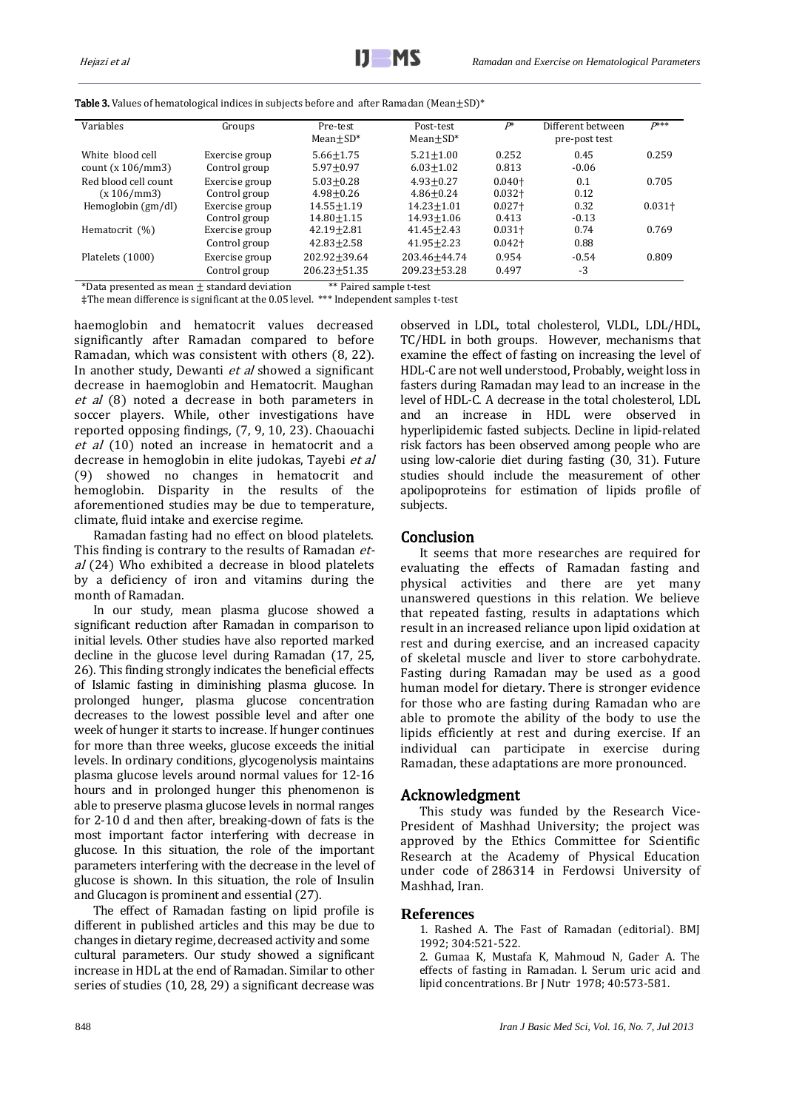| Variables                               | Groups                          | Pre-test<br>$Mean + SD*$             | Post-test<br>$Mean + SD^*$         | $P^*$                  | Different between<br>pre-post test | $P***$    |
|-----------------------------------------|---------------------------------|--------------------------------------|------------------------------------|------------------------|------------------------------------|-----------|
| White blood cell<br>count $(x 106/mm3)$ | Exercise group<br>Control group | $5.66 + 1.75$<br>$5.97 + 0.97$       | $5.21 + 1.00$<br>$6.03 \pm 1.02$   | 0.252<br>0.813         | 0.45<br>$-0.06$                    | 0.259     |
| Red blood cell count<br>(x 106/mm3)     | Exercise group<br>Control group | $5.03 + 0.28$<br>$4.98 + 0.26$       | $4.93 + 0.27$<br>$4.86 + 0.24$     | $0.040 +$<br>$0.032 +$ | 0.1<br>0.12                        | 0.705     |
| Hemoglobin $(gm/dl)$                    | Exercise group<br>Control group | $14.55 + 1.19$<br>$14.80 + 1.15$     | $14.23 + 1.01$<br>$14.93 + 1.06$   | $0.027 +$<br>0.413     | 0.32<br>$-0.13$                    | $0.031 +$ |
| Hematocrit (%)                          | Exercise group<br>Control group | $42.19 + 2.81$<br>$42.83 + 2.58$     | $41.45 \pm 2.43$<br>$41.95 + 2.23$ | $0.031 +$<br>$0.042 +$ | 0.74<br>0.88                       | 0.769     |
| Platelets (1000)                        | Exercise group<br>Control group | $202.92 + 39.64$<br>$206.23 + 51.35$ | 203.46+44.74<br>$209.23 + 53.28$   | 0.954<br>0.497         | $-0.54$<br>$-3$                    | 0.809     |

Table 3. Values of hematological indices in subjects before and after Ramadan (Mean $\pm$ SD)\*

\*Data presented as mean  $\pm$  standard deviation  $***$  Paired sample t-test ‡The mean difference is significant at the 0.05 level. \*\*\* Independent samples t-test

haemoglobin and hematocrit values decreased significantly after Ramadan compared to before Ramadan, which was consistent with others [\(8,](#page-4-3) 22). In another study, Dewanti et al showed a significant decrease in haemoglobin and Hematocrit. Maughan et al [\(8\)](#page-4-3) noted a decrease in both parameters in soccer players. While, other investigations have reported opposing findings, (7, [9,](#page-4-4) 10, 23). Chaouachi et al [\(10\)](#page-4-5) noted an increase in hematocrit and a decrease in hemoglobin in elite judokas, Tayebi et al [\(9\)](#page-4-4) showed no changes in hematocrit and hemoglobin. Disparity in the results of the aforementioned studies may be due to temperature, climate, fluid intake and exercise regime.

Ramadan fasting had no effect on blood platelets. This finding is contrary to the results of Ramadan et-al [\(24\)](#page-4-17) Who exhibited a decrease in blood platelets by a deficiency of iron and vitamins during the month of Ramadan.

In our study, mean plasma glucose showed a significant reduction after Ramadan in comparison to initial levels. Other studies have also reported marked decline in the glucose level during Ramadan [\(17,](#page-4-12) [25,](#page-4-18)  [26\)](#page-4-19). This finding strongly indicates the beneficial effects of Islamic fasting in diminishing plasma glucose. In prolonged hunger, plasma glucose concentration decreases to the lowest possible level and after one week of hunger it starts to increase. If hunger continues for more than three weeks, glucose exceeds the initial levels. In ordinary conditions, glycogenolysis maintains plasma glucose levels around normal values for 12-16 hours and in prolonged hunger this phenomenon is able to preserve plasma glucose levels in normal ranges for 2-10 d and then after, breaking-down of fats is the most important factor interfering with decrease in glucose. In this situation, the role of the important parameters interfering with the decrease in the level of glucose is shown. In this situation, the role of Insulin and Glucagon is prominent and essential [\(27\)](#page-4-20).

The effect of Ramadan fasting on lipid profile is different in published articles and this may be due to changes in dietary regime, decreased activity and some cultural parameters. Our study showed a significant increase in HDL at the end of Ramadan. Similar to other series of studies (10, 28, 29) a significant decrease was observed in LDL, total cholesterol, VLDL, LDL/HDL, TC/HDL in both groups. However, mechanisms that examine the effect of fasting on increasing the level of HDL-C are not well understood, Probably, weight loss in fasters during Ramadan may lead to an increase in the level of HDL-C. A decrease in the total cholesterol, LDL and an increase in HDL were observed in hyperlipidemic fasted subjects. Decline in lipid-related risk factors has been observed among people who are using low-calorie diet during fasting (30, [31\)](#page-4-21). Future studies should include the measurement of other apolipoproteins for estimation of lipids profile of subjects.

# Conclusion

It seems that more researches are required for evaluating the effects of Ramadan fasting and physical activities and there are yet many unanswered questions in this relation. We believe that repeated fasting, results in adaptations which result in an increased reliance upon lipid oxidation at rest and during exercise, and an increased capacity of skeletal muscle and liver to store carbohydrate. Fasting during Ramadan may be used as a good human model for dietary. There is stronger evidence for those who are fasting during Ramadan who are able to promote the ability of the body to use the lipids efficiently at rest and during exercise. If an individual can participate in exercise during Ramadan, these adaptations are more pronounced.

## Acknowledgment

This study was funded by the Research Vice-President of Mashhad University; the project was approved by the Ethics Committee for Scientific Research at the Academy of Physical Education under code of 286314 in Ferdowsi University of Mashhad, Iran.

## <span id="page-3-0"></span>**References**

- 1. Rashed A. The Fast of Ramadan (editorial). BMJ 1992; 304:521-522.
- <span id="page-3-1"></span>2. Gumaa K, Mustafa K, Mahmoud N, Gader A. The effects of fasting in Ramadan. l. Serum uric acid and lipid concentrations. Br J Nutr 1978; 40:573-581.